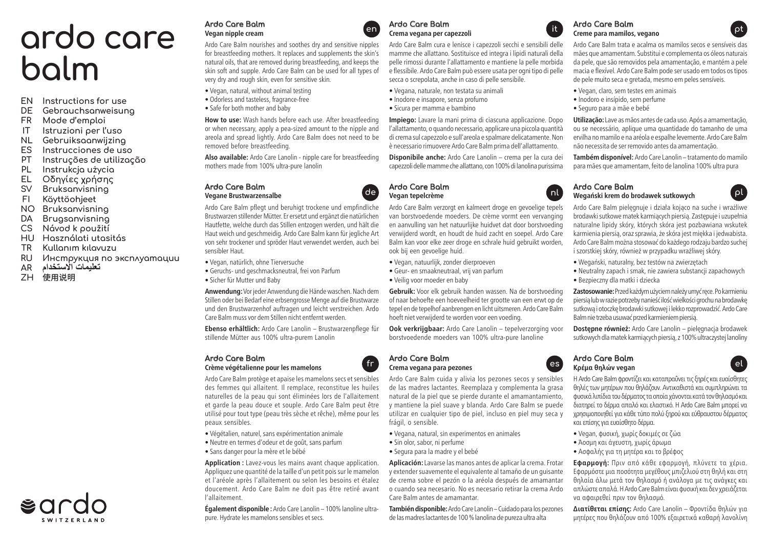# **ardo care balm**

- **EN Instructions for use**
- **DE Gebrauchsanweisung**
- **FR Mode d'emploi**
- **Istruzioni per l'uso**
- **NL Gebruiksaanwijzing**
- **ES Instrucciones de uso**
- **PT Instruções de utilização**
- **PL Instrukcja użycia**
- **EL Οδηγίες χρήσης**
- **SV Bruksanvisning**
- **FI Käyttöohjeet**
- **NO Bruksanvisning**
- **DA Brugsanvisning**
- **CS Návod k použití**
- **HU Használati utasitás**
- **TR Kullanım kılavuzu**
- **RU Инструкция по эксплуатации**
- **تعليمات االستخدام AR**
- **ZH** 使用说明

## **Ardo Care Balm Vegan nipple cream**

Ardo Care Balm nourishes and soothes dry and sensitive nipples for breastfeeding mothers. It replaces and supplements the skin's natural oils, that are removed during breastfeeding, and keeps the skin soft and supple. Ardo Care Balm can be used for all types of very dry and rough skin, even for sensitive skin.

- Vegan, natural, without animal testing
- Odorless and tasteless, fragrance-free
- Safe for both mother and baby

**How to use:** Wash hands before each use. After breastfeeding or when necessary, apply a pea-sized amount to the nipple and areola and spread lightly. Ardo Care Balm does not need to be removed before breastfeeding.

**Also available:** Ardo Care Lanolin - nipple care for breastfeeding mothers made from 100% ultra-pure lanolin

#### **Ardo Care Balm Vegane Brustwarzensalbe**

Ardo Care Balm pflegt und beruhigt trockene und empfindliche Brustwarzen stillender Mütter. Er ersetzt und ergänzt die natürlichen Hautfette, welche durch das Stillen entzogen werden, und hält die Haut weich und geschmeidig. Ardo Care Balm kann für jegliche Art von sehr trockener und spröder Haut verwendet werden, auch bei sensibler Haut.

- Vegan, natürlich, ohne Tierversuche
- Geruchs- und geschmacksneutral, frei von Parfum
- Sicher für Mutter und Baby

**Anwendung:** Vor jeder Anwendung die Hände waschen. Nach dem Stillen oder bei Bedarf eine erbsengrosse Menge auf die Brustwarze und den Brustwarzenhof auftragen und leicht verstreichen. Ardo Care Balm muss vor dem Stillen nicht entfernt werden.

**Ebenso erhältlich:** Ardo Care Lanolin – Brustwarzenpflege für stillende Mütter aus 100% ultra-purem Lanolin

## **Ardo Care Balm**



Ardo Care Balm protège et apaise les mamelons secs et sensibles des femmes qui allaitent. Il remplace, reconstitue les huiles naturelles de la peau qui sont éliminées lors de l'allaitement et garde la peau douce et souple. Ardo Care Balm peut être utilisé pour tout type (peau très sèche et rêche), même pour les peaux sensibles.

- Végétalien, naturel, sans expérimentation animale
- Neutre en termes d'odeur et de goût, sans parfum
- Sans danger pour la mère et le bébé

**Application :** Lavez-vous les mains avant chaque application. Appliquez une quantité de la taille d'un petit pois sur le mamelon et l'aréole après l'allaitement ou selon les besoins et étalez doucement. Ardo Care Balm ne doit pas être retiré avant l'allaitement.

**Également disponible :** Ardo Care Lanolin – 100% lanoline ultrapure. Hydrate les mamelons sensibles et secs.



#### **Ardo Care Balm Crema vegana per capezzoli Creme para mamilos, vegano en it pt**

Ardo Care Balm cura e lenisce i capezzoli secchi e sensibili delle mamme che allattano. Sostituisce ed integra i lipidi naturali della pelle rimossi durante l'allattamento e mantiene la pelle morbida e flessibile. Ardo Care Balm può essere usata per ogni tipo di pelle secca o screpolata, anche in caso di pelle sensibile.

- Vegana, naturale, non testata su animali
- Inodore e insapore, senza profumo
- Sicura per mamma e bambino

**Impiego:** Lavare la mani prima di ciascuna applicazione. Dopo l'allattamento, o quando necessario, applicare una piccola quantità di crema sul capezzolo e sull'areola e spalmare delicatamente. Non è necessario rimuovere Ardo Care Balm prima dell'allattamento.

**Disponibile anche:** Ardo Care Lanolin – crema per la cura dei capezzoli delle mamme che allattano, con 100% di lanolina purissima

#### **Ardo Care Balm Vegan tepelcrème Wegański krem do brodawek sutkowych de nl pl**

Ardo Care Balm verzorgt en kalmeert droge en gevoelige tepels van borstvoedende moeders. De crème vormt een vervanging en aanvulling van het natuurlijke huidvet dat door borstvoeding verwijderd wordt, en houdt de huid zacht en soepel. Ardo Care Balm kan voor elke zeer droge en schrale huid gebruikt worden, ook bij een gevoelige huid.

- Vegan, natuurlijk, zonder dierproeven
- Geur- en smaakneutraal, vrij van parfum
- Veilig voor moeder en baby

**Gebruik:** Voor elk gebruik handen wassen. Na de borstvoeding of naar behoefte een hoeveelheid ter grootte van een erwt op de tepel en de tepelhof aanbrengen en licht uitsmeren. Ardo Care Balm hoeft niet verwijderd te worden voor een voeding.

**Ook verkrijgbaar:** Ardo Care Lanolin – tepelverzorging voor borstvoedende moeders van 100% ultra-pure lanoline

#### **Ardo Care Balm fr c es exercise contracts exercise to <b>exercise es exercise exercise to <b>exercise exercise exercise exercise**

Ardo Care Balm cuida y alivia los pezones secos y sensibles de las madres lactantes. Reemplaza y complementa la grasa natural de la piel que se pierde durante el amamantamiento, y mantiene la piel suave y blanda. Ardo Care Balm se puede utilizar en cualquier tipo de piel, incluso en piel muy seca y frágil, o sensible.

- Vegana, natural, sin experimentos en animales
- Sin olor, sabor, ni perfume
- Segura para la madre y el bebé

**Aplicación:** Lavarse las manos antes de aplicar la crema. Frotar y extender suavemente el equivalente al tamaño de un guisante de crema sobre el pezón o la aréola después de amamantar o cuando sea necesario. No es necesario retirar la crema Ardo Care Balm antes de amamantar.

**También disponible:** Ardo Care Lanolin – Cuidado para los pezones de las madres lactantes de 100 % lanolina de pureza ultra alta



Ardo Care Balm trata e acalma os mamilos secos e sensíveis das mães que amamentam. Substitui e complementa os óleos naturais da pele, que são removidos pela amamentação, e mantém a pele macia e flexível. Ardo Care Balm pode ser usado em todos os tipos de pele muito seca e gretada, mesmo em peles sensíveis.

- Vegan, claro, sem testes em animais
- Inodoro e insípido, sem perfume
- Seguro para a mãe e bebé

**Utilização:** Lave as mãos antes de cada uso. Após a amamentação, ou se necessário, aplique uma quantidade do tamanho de uma ervilha no mamilo e na aréola e espalhe levemente. Ardo Care Balm não necessita de ser removido antes da amamentação.

**Também disponível:** Ardo Care Lanolin – tratamento do mamilo para mães que amamentam, feito de lanolina 100% ultra pura



Ardo Care Balm pielęgnuje i działa kojąco na suche i wrażliwe brodawki sutkowe matek karmiących piersią. Zastępuje i uzupełnia naturalne lipidy skóry, których skóra jest pozbawiana wskutek karmienia piersią, oraz sprawia, że skóra jest miękka i jedwabista. Ardo Care Balm można stosować do każdego rodzaju bardzo suchej i szorstkiej skóry, również w przypadku wrażliwej skóry.

- Wegański, naturalny, bez testów na zwierzętach
- Neutralny zapach i smak, nie zawiera substancji zapachowych
- Bezpieczny dla matki i dziecka

**Zastosowanie:** Przed każdym użyciem należy umyć ręce. Po karmieniu piersią lub w razie potrzeby nanieść ilość wielkości grochu na brodawkę sutkową i otoczkę brodawki sutkowej i lekko rozprowadzić. Ardo Care Balm nie trzeba usuwać przed karmieniem piersią.

**Dostępne również:** Ardo Care Lanolin – pielęgnacja brodawek sutkowych dla matek karmiących piersią, z 100% ultraczystej lanoliny



Η Ardo Care Balm φροντίζει και καταπραΰνει τις ξηρές και ευαίσθητες θηλές των μητέρων που θηλάζουν. Αντικαθιστά και συμπληρώνει τα φυσικά λιπίδια του δέρματος τα οποία χάνονται κατά τον θηλασμό και διατηρεί το δέρμα απαλό και ελαστικό. Η Ardo Care Balm μπορεί να χρησιμοποιηθεί για κάθε τύπο πολύ ξηρού και εύθραυστου δέρματος και επίσης για ευαίσθητο δέρμα.

- Vegan, φυσική, χωρίς δοκιμές σε ζώα
- Άοσμη και άγευστη, χωρίς άρωμα
- Ασφαλής για τη μητέρα και το βρέφος

**Εφαρμογή:** Πριν από κάθε εφαρμογή, πλύνετε τα χέρια. Εφαρμόστε μια ποσότητα μεγέθους μπιζελιού στη θηλή και στη θηλαία άλω μετά τον θηλασμό ή ανάλογα με τις ανάγκες και απλώστε απαλά. Η Ardo Care Balm είναι φυσική και δεν χρειάζεται να αφαιρεθεί πριν τον θηλασμό.

**Διατίθεται επίσης:** Ardo Care Lanolin – Φροντίδα θηλών για μητέρες που θηλάζουν από 100% εξαιρετικά καθαρή λανολίνη